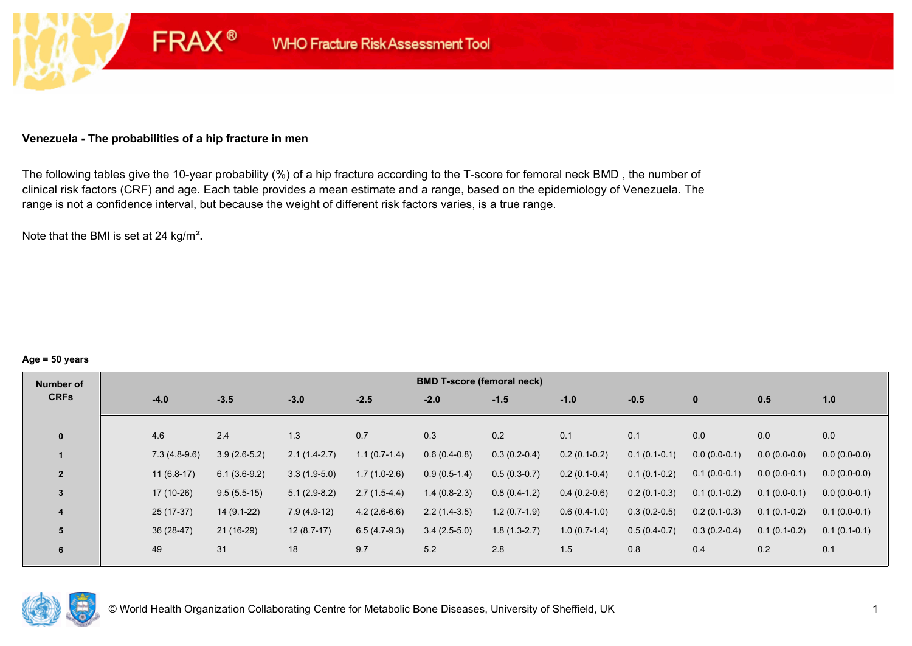### **Venezuela - The probabilities of a hip fracture in men**

**FRAX®** 

The following tables give the 10-year probability (%) of a hip fracture according to the T-score for femoral neck BMD , the number of clinical risk factors (CRF) and age. Each table provides a mean estimate and a range, based on the epidemiology of Venezuela. The range is not a confidence interval, but because the weight of different risk factors varies, is a true range.

Note that the BMI is set at 24 kg/m²**.** 

#### **Age = 50 years**

| Number of      |                |                |                |                | <b>BMD T-score (femoral neck)</b> |                |                |                |                |                |                |
|----------------|----------------|----------------|----------------|----------------|-----------------------------------|----------------|----------------|----------------|----------------|----------------|----------------|
| <b>CRFs</b>    | $-4.0$         | $-3.5$         | $-3.0$         | $-2.5$         | $-2.0$                            | $-1.5$         | $-1.0$         | $-0.5$         | $\mathbf{0}$   | 0.5            | 1.0            |
|                |                |                |                |                |                                   |                |                |                |                |                |                |
| $\bf{0}$       | 4.6            | 2.4            | 1.3            | 0.7            | 0.3                               | 0.2            | 0.1            | 0.1            | 0.0            | 0.0            | 0.0            |
|                | $7.3(4.8-9.6)$ | $3.9(2.6-5.2)$ | $2.1(1.4-2.7)$ | $1.1(0.7-1.4)$ | $0.6(0.4-0.8)$                    | $0.3(0.2-0.4)$ | $0.2(0.1-0.2)$ | $0.1(0.1-0.1)$ | $0.0(0.0-0.1)$ | $0.0(0.0-0.0)$ | $0.0(0.0-0.0)$ |
| $\overline{2}$ | $11(6.8-17)$   | $6.1(3.6-9.2)$ | $3.3(1.9-5.0)$ | $1.7(1.0-2.6)$ | $0.9(0.5-1.4)$                    | $0.5(0.3-0.7)$ | $0.2(0.1-0.4)$ | $0.1(0.1-0.2)$ | $0.1(0.0-0.1)$ | $0.0(0.0-0.1)$ | $0.0(0.0-0.0)$ |
| 3              | 17 (10-26)     | $9.5(5.5-15)$  | $5.1(2.9-8.2)$ | $2.7(1.5-4.4)$ | $1.4(0.8-2.3)$                    | $0.8(0.4-1.2)$ | $0.4(0.2-0.6)$ | $0.2(0.1-0.3)$ | $0.1(0.1-0.2)$ | $0.1(0.0-0.1)$ | $0.0(0.0-0.1)$ |
| 4              | $25(17-37)$    | $14(9.1-22)$   | $7.9(4.9-12)$  | $4.2(2.6-6.6)$ | $2.2(1.4-3.5)$                    | $1.2(0.7-1.9)$ | $0.6(0.4-1.0)$ | $0.3(0.2-0.5)$ | $0.2(0.1-0.3)$ | $0.1(0.1-0.2)$ | $0.1(0.0-0.1)$ |
| 5              | 36 (28-47)     | $21(16-29)$    | $12(8.7-17)$   | $6.5(4.7-9.3)$ | $3.4(2.5-5.0)$                    | $1.8(1.3-2.7)$ | $1.0(0.7-1.4)$ | $0.5(0.4-0.7)$ | $0.3(0.2-0.4)$ | $0.1(0.1-0.2)$ | $0.1(0.1-0.1)$ |
| 6              | 49             | 31             | 18             | 9.7            | 5.2                               | 2.8            | 1.5            | 0.8            | 0.4            | 0.2            | 0.1            |

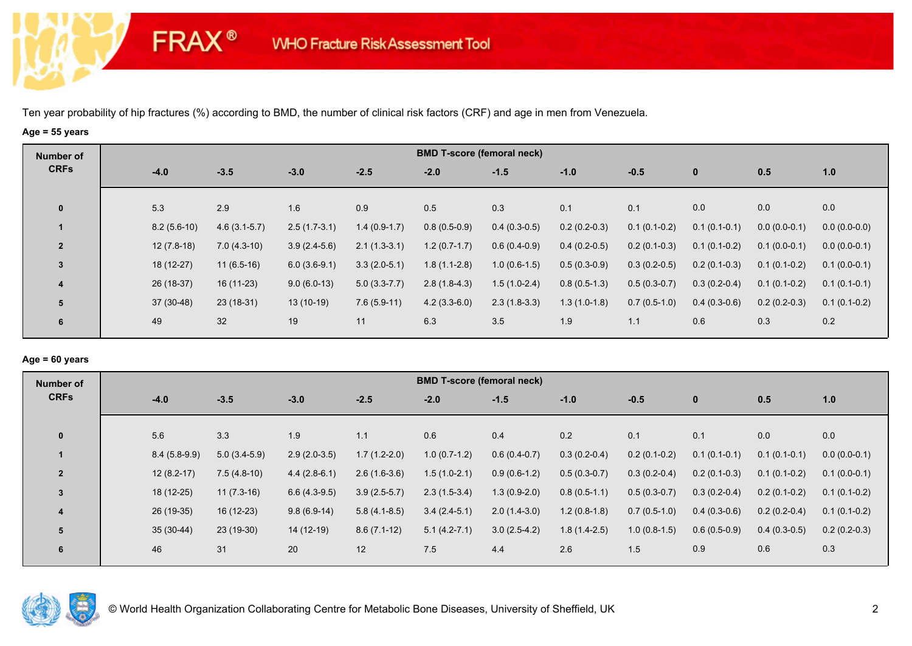**FRAX®** 

## **Age = 55 years**

| Number of               |               |                |                |                |                | <b>BMD T-score (femoral neck)</b> |                |                |                |                |                |
|-------------------------|---------------|----------------|----------------|----------------|----------------|-----------------------------------|----------------|----------------|----------------|----------------|----------------|
| <b>CRFs</b>             | $-4.0$        | $-3.5$         | $-3.0$         | $-2.5$         | $-2.0$         | $-1.5$                            | $-1.0$         | $-0.5$         | $\mathbf{0}$   | 0.5            | 1.0            |
| $\mathbf 0$             | 5.3           | 2.9            | 1.6            | 0.9            | 0.5            | 0.3                               | 0.1            | 0.1            | 0.0            | 0.0            | 0.0            |
| $\mathbf{1}$            | $8.2(5.6-10)$ | $4.6(3.1-5.7)$ | $2.5(1.7-3.1)$ | $1.4(0.9-1.7)$ | $0.8(0.5-0.9)$ | $0.4(0.3-0.5)$                    | $0.2(0.2-0.3)$ | $0.1(0.1-0.2)$ | $0.1(0.1-0.1)$ | $0.0(0.0-0.1)$ | $0.0(0.0-0.0)$ |
| $\overline{2}$          | $12(7.8-18)$  | $7.0(4.3-10)$  | $3.9(2.4-5.6)$ | $2.1(1.3-3.1)$ | $1.2(0.7-1.7)$ | $0.6(0.4-0.9)$                    | $0.4(0.2-0.5)$ | $0.2(0.1-0.3)$ | $0.1(0.1-0.2)$ | $0.1(0.0-0.1)$ | $0.0(0.0-0.1)$ |
| 3                       | 18 (12-27)    | $11(6.5-16)$   | $6.0(3.6-9.1)$ | $3.3(2.0-5.1)$ | $1.8(1.1-2.8)$ | $1.0(0.6-1.5)$                    | $0.5(0.3-0.9)$ | $0.3(0.2-0.5)$ | $0.2(0.1-0.3)$ | $0.1(0.1-0.2)$ | $0.1(0.0-0.1)$ |
| $\overline{\mathbf{4}}$ | 26 (18-37)    | $16(11-23)$    | $9.0(6.0-13)$  | $5.0(3.3-7.7)$ | $2.8(1.8-4.3)$ | $1.5(1.0-2.4)$                    | $0.8(0.5-1.3)$ | $0.5(0.3-0.7)$ | $0.3(0.2-0.4)$ | $0.1(0.1-0.2)$ | $0.1(0.1-0.1)$ |
| 5                       | $37(30-48)$   | $23(18-31)$    | $13(10-19)$    | $7.6(5.9-11)$  | $4.2(3.3-6.0)$ | $2.3(1.8-3.3)$                    | $1.3(1.0-1.8)$ | $0.7(0.5-1.0)$ | $0.4(0.3-0.6)$ | $0.2(0.2-0.3)$ | $0.1(0.1-0.2)$ |
| 6                       | 49            | 32             | 19             | 11             | 6.3            | 3.5                               | 1.9            | 1.1            | 0.6            | 0.3            | 0.2            |

## **Age = 60 years**

| Number of      |                |                |                |                | <b>BMD T-score (femoral neck)</b> |                |                |                |                |                |                |
|----------------|----------------|----------------|----------------|----------------|-----------------------------------|----------------|----------------|----------------|----------------|----------------|----------------|
| <b>CRFs</b>    | $-4.0$         | $-3.5$         | $-3.0$         | $-2.5$         | $-2.0$                            | $-1.5$         | $-1.0$         | $-0.5$         | $\mathbf{0}$   | 0.5            | 1.0            |
| $\mathbf{0}$   | 5.6            | 3.3            | 1.9            | 1.1            | 0.6                               | 0.4            | 0.2            | 0.1            | 0.1            | 0.0            | 0.0            |
|                | $8.4(5.8-9.9)$ | $5.0(3.4-5.9)$ | $2.9(2.0-3.5)$ | $1.7(1.2-2.0)$ | $1.0(0.7-1.2)$                    | $0.6(0.4-0.7)$ | $0.3(0.2-0.4)$ | $0.2(0.1-0.2)$ | $0.1(0.1-0.1)$ | $0.1(0.1-0.1)$ | $0.0(0.0-0.1)$ |
| $\overline{2}$ | $12(8.2-17)$   | $7.5(4.8-10)$  | $4.4(2.8-6.1)$ | $2.6(1.6-3.6)$ | $1.5(1.0-2.1)$                    | $0.9(0.6-1.2)$ | $0.5(0.3-0.7)$ | $0.3(0.2-0.4)$ | $0.2(0.1-0.3)$ | $0.1(0.1-0.2)$ | $0.1(0.0-0.1)$ |
| 3              | 18 (12-25)     | $11(7.3-16)$   | $6.6(4.3-9.5)$ | $3.9(2.5-5.7)$ | $2.3(1.5-3.4)$                    | $1.3(0.9-2.0)$ | $0.8(0.5-1.1)$ | $0.5(0.3-0.7)$ | $0.3(0.2-0.4)$ | $0.2(0.1-0.2)$ | $0.1(0.1-0.2)$ |
| 4              | 26 (19-35)     | $16(12-23)$    | $9.8(6.9-14)$  | $5.8(4.1-8.5)$ | $3.4(2.4-5.1)$                    | $2.0(1.4-3.0)$ | $1.2(0.8-1.8)$ | $0.7(0.5-1.0)$ | $0.4(0.3-0.6)$ | $0.2(0.2-0.4)$ | $0.1(0.1-0.2)$ |
| 5              | $35(30-44)$    | 23 (19-30)     | 14 (12-19)     | $8.6(7.1-12)$  | $5.1(4.2-7.1)$                    | $3.0(2.5-4.2)$ | $1.8(1.4-2.5)$ | $1.0(0.8-1.5)$ | $0.6(0.5-0.9)$ | $0.4(0.3-0.5)$ | $0.2(0.2-0.3)$ |
| 6              | 46             | 31             | 20             | 12             | 7.5                               | 4.4            | 2.6            | 1.5            | 0.9            | 0.6            | 0.3            |

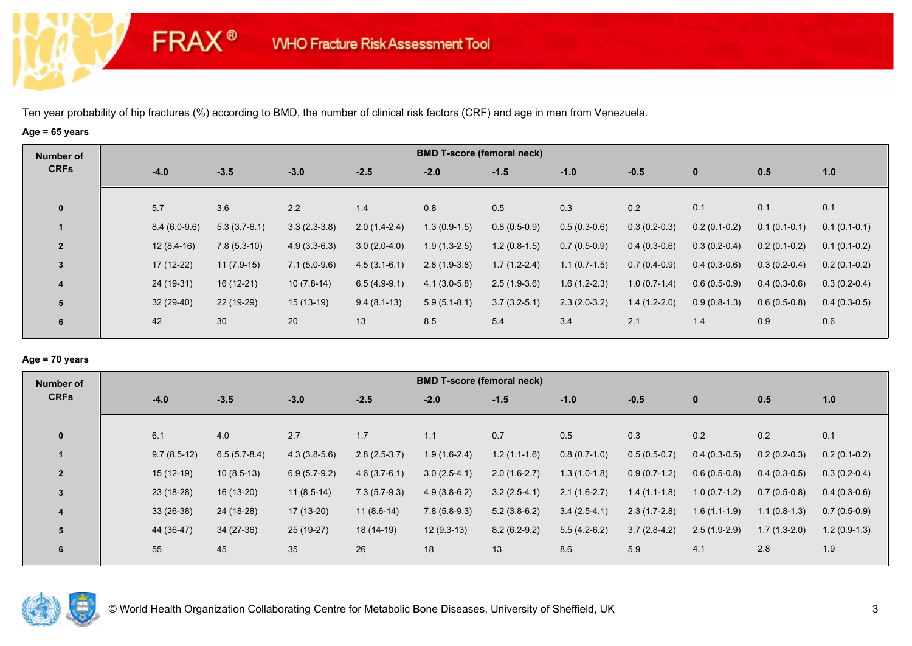**FRAX®** 

## **Age = 65 years**

| Number of      |                |                |                |                | <b>BMD T-score (femoral neck)</b> |                |                |                |                |                |                |
|----------------|----------------|----------------|----------------|----------------|-----------------------------------|----------------|----------------|----------------|----------------|----------------|----------------|
| <b>CRFs</b>    | $-4.0$         | $-3.5$         | $-3.0$         | $-2.5$         | $-2.0$                            | $-1.5$         | $-1.0$         | $-0.5$         | $\bf{0}$       | 0.5            | 1.0            |
| $\mathbf 0$    | 5.7            | 3.6            | 2.2            | 1.4            | 0.8                               | 0.5            | 0.3            | 0.2            | 0.1            | 0.1            | 0.1            |
|                | $8.4(6.0-9.6)$ | $5.3(3.7-6.1)$ | $3.3(2.3-3.8)$ | $2.0(1.4-2.4)$ | $1.3(0.9-1.5)$                    | $0.8(0.5-0.9)$ | $0.5(0.3-0.6)$ | $0.3(0.2-0.3)$ | $0.2(0.1-0.2)$ | $0.1(0.1-0.1)$ | $0.1(0.1-0.1)$ |
| $\overline{2}$ | $12(8.4-16)$   | $7.8(5.3-10)$  | $4.9(3.3-6.3)$ | $3.0(2.0-4.0)$ | $1.9(1.3-2.5)$                    | $1.2(0.8-1.5)$ | $0.7(0.5-0.9)$ | $0.4(0.3-0.6)$ | $0.3(0.2-0.4)$ | $0.2(0.1-0.2)$ | $0.1(0.1-0.2)$ |
| $\mathbf{3}$   | 17 (12-22)     | $11(7.9-15)$   | $7.1(5.0-9.6)$ | $4.5(3.1-6.1)$ | $2.8(1.9-3.8)$                    | $1.7(1.2-2.4)$ | $1.1(0.7-1.5)$ | $0.7(0.4-0.9)$ | $0.4(0.3-0.6)$ | $0.3(0.2-0.4)$ | $0.2(0.1-0.2)$ |
| 4              | 24 (19-31)     | $16(12-21)$    | $10(7.8-14)$   | $6.5(4.9-9.1)$ | $4.1(3.0-5.8)$                    | $2.5(1.9-3.6)$ | $1.6(1.2-2.3)$ | $1.0(0.7-1.4)$ | $0.6(0.5-0.9)$ | $0.4(0.3-0.6)$ | $0.3(0.2-0.4)$ |
| 5              | $32(29-40)$    | 22 (19-29)     | $15(13-19)$    | $9.4(8.1-13)$  | $5.9(5.1-8.1)$                    | $3.7(3.2-5.1)$ | $2.3(2.0-3.2)$ | $1.4(1.2-2.0)$ | $0.9(0.8-1.3)$ | $0.6(0.5-0.8)$ | $0.4(0.3-0.5)$ |
| 6              | 42             | 30             | 20             | 13             | 8.5                               | 5.4            | 3.4            | 2.1            | 1.4            | 0.9            | 0.6            |

### **Age = 70 years**

| Number of      |               |                |                |                |                | <b>BMD T-score (femoral neck)</b> |                |                |                |                |                |
|----------------|---------------|----------------|----------------|----------------|----------------|-----------------------------------|----------------|----------------|----------------|----------------|----------------|
| <b>CRFs</b>    | $-4.0$        | $-3.5$         | $-3.0$         | $-2.5$         | $-2.0$         | $-1.5$                            | $-1.0$         | $-0.5$         | $\mathbf 0$    | 0.5            | 1.0            |
|                |               |                |                |                |                |                                   |                |                |                |                |                |
| $\mathbf{0}$   | 6.1           | 4.0            | 2.7            | 1.7            | 1.1            | 0.7                               | 0.5            | 0.3            | 0.2            | 0.2            | 0.1            |
|                | $9.7(8.5-12)$ | $6.5(5.7-8.4)$ | $4.3(3.8-5.6)$ | $2.8(2.5-3.7)$ | $1.9(1.6-2.4)$ | $1.2(1.1-1.6)$                    | $0.8(0.7-1.0)$ | $0.5(0.5-0.7)$ | $0.4(0.3-0.5)$ | $0.2(0.2-0.3)$ | $0.2(0.1-0.2)$ |
| $\overline{2}$ | $15(12-19)$   | $10(8.5-13)$   | $6.9(5.7-9.2)$ | $4.6(3.7-6.1)$ | $3.0(2.5-4.1)$ | $2.0(1.6-2.7)$                    | $1.3(1.0-1.8)$ | $0.9(0.7-1.2)$ | $0.6(0.5-0.8)$ | $0.4(0.3-0.5)$ | $0.3(0.2-0.4)$ |
| $\mathbf{3}$   | 23 (18-28)    | 16 (13-20)     | $11(8.5-14)$   | $7.3(5.7-9.3)$ | $4.9(3.8-6.2)$ | $3.2(2.5-4.1)$                    | $2.1(1.6-2.7)$ | $1.4(1.1-1.8)$ | $1.0(0.7-1.2)$ | $0.7(0.5-0.8)$ | $0.4(0.3-0.6)$ |
| 4              | $33(26-38)$   | 24 (18-28)     | 17 (13-20)     | $11(8.6-14)$   | $7.8(5.8-9.3)$ | $5.2(3.8-6.2)$                    | $3.4(2.5-4.1)$ | $2.3(1.7-2.8)$ | $1.6(1.1-1.9)$ | $1.1(0.8-1.3)$ | $0.7(0.5-0.9)$ |
| 5              | 44 (36-47)    | $34(27-36)$    | 25 (19-27)     | 18 (14-19)     | $12(9.3-13)$   | $8.2(6.2-9.2)$                    | $5.5(4.2-6.2)$ | $3.7(2.8-4.2)$ | $2.5(1.9-2.9)$ | $1.7(1.3-2.0)$ | $1.2(0.9-1.3)$ |
| 6              | 55            | 45             | 35             | 26             | 18             | 13                                | 8.6            | 5.9            | 4.1            | 2.8            | 1.9            |
|                |               |                |                |                |                |                                   |                |                |                |                |                |

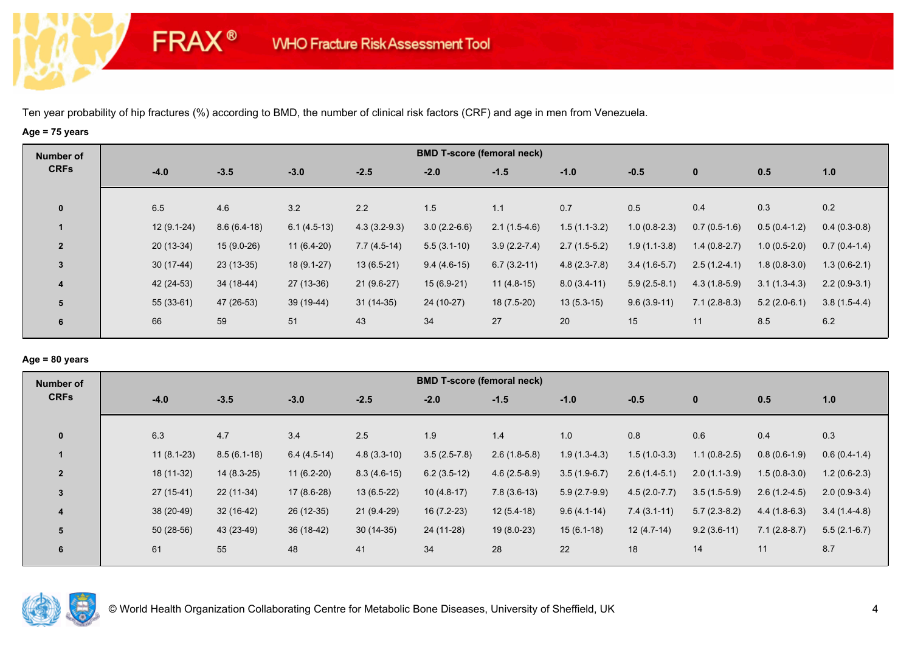**FRAX®** 

## **Age = 75 years**

| Number of      |              |               |               |                |                | <b>BMD T-score (femoral neck)</b> |                |                |                |                |                |
|----------------|--------------|---------------|---------------|----------------|----------------|-----------------------------------|----------------|----------------|----------------|----------------|----------------|
| <b>CRFs</b>    | $-4.0$       | $-3.5$        | $-3.0$        | $-2.5$         | $-2.0$         | $-1.5$                            | $-1.0$         | $-0.5$         | $\mathbf{0}$   | 0.5            | 1.0            |
| $\mathbf{0}$   | 6.5          | 4.6           | 3.2           | 2.2            | 1.5            | 1.1                               | 0.7            | 0.5            | 0.4            | 0.3            | 0.2            |
|                | $12(9.1-24)$ | $8.6(6.4-18)$ | $6.1(4.5-13)$ | $4.3(3.2-9.3)$ | $3.0(2.2-6.6)$ | $2.1(1.5-4.6)$                    | $1.5(1.1-3.2)$ | $1.0(0.8-2.3)$ | $0.7(0.5-1.6)$ | $0.5(0.4-1.2)$ | $0.4(0.3-0.8)$ |
| $\overline{2}$ | $20(13-34)$  | $15(9.0-26)$  | $11(6.4-20)$  | $7.7(4.5-14)$  | $5.5(3.1-10)$  | $3.9(2.2 - 7.4)$                  | $2.7(1.5-5.2)$ | $1.9(1.1-3.8)$ | $1.4(0.8-2.7)$ | $1.0(0.5-2.0)$ | $0.7(0.4-1.4)$ |
| 3              | $30(17-44)$  | $23(13-35)$   | $18(9.1-27)$  | $13(6.5-21)$   | $9.4(4.6-15)$  | $6.7(3.2-11)$                     | $4.8(2.3-7.8)$ | $3.4(1.6-5.7)$ | $2.5(1.2-4.1)$ | $1.8(0.8-3.0)$ | $1.3(0.6-2.1)$ |
| 4              | 42 (24-53)   | 34 (18-44)    | $27(13-36)$   | $21(9.6-27)$   | $15(6.9-21)$   | $11(4.8-15)$                      | $8.0(3.4-11)$  | $5.9(2.5-8.1)$ | $4.3(1.8-5.9)$ | $3.1(1.3-4.3)$ | $2.2(0.9-3.1)$ |
| 5              | $55(33-61)$  | 47 (26-53)    | 39 (19-44)    | $31(14-35)$    | 24 (10-27)     | $18(7.5-20)$                      | $13(5.3-15)$   | $9.6(3.9-11)$  | $7.1(2.8-8.3)$ | $5.2(2.0-6.1)$ | $3.8(1.5-4.4)$ |
| 6              | 66           | 59            | 51            | 43             | 34             | 27                                | 20             | 15             | 11             | 8.5            | 6.2            |

# **Age = 80 years**

| Number of      |              |               |               |               | <b>BMD T-score (femoral neck)</b> |                |                |                |                |                |                |
|----------------|--------------|---------------|---------------|---------------|-----------------------------------|----------------|----------------|----------------|----------------|----------------|----------------|
| <b>CRFs</b>    | $-4.0$       | $-3.5$        | $-3.0$        | $-2.5$        | $-2.0$                            | $-1.5$         | $-1.0$         | $-0.5$         | $\mathbf 0$    | 0.5            | 1.0            |
| $\mathbf{0}$   | 6.3          | 4.7           | 3.4           | 2.5           | 1.9                               | 1.4            | 1.0            | 0.8            | 0.6            | 0.4            | 0.3            |
|                |              |               |               |               |                                   |                |                |                |                |                |                |
|                | $11(8.1-23)$ | $8.5(6.1-18)$ | $6.4(4.5-14)$ | $4.8(3.3-10)$ | $3.5(2.5-7.8)$                    | $2.6(1.8-5.8)$ | $1.9(1.3-4.3)$ | $1.5(1.0-3.3)$ | $1.1(0.8-2.5)$ | $0.8(0.6-1.9)$ | $0.6(0.4-1.4)$ |
| $\overline{2}$ | 18 (11-32)   | $14(8.3-25)$  | $11(6.2-20)$  | $8.3(4.6-15)$ | $6.2(3.5-12)$                     | $4.6(2.5-8.9)$ | $3.5(1.9-6.7)$ | $2.6(1.4-5.1)$ | $2.0(1.1-3.9)$ | $1.5(0.8-3.0)$ | $1.2(0.6-2.3)$ |
| $\mathbf{3}$   | $27(15-41)$  | 22 (11-34)    | $17(8.6-28)$  | $13(6.5-22)$  | $10(4.8-17)$                      | $7.8(3.6-13)$  | $5.9(2.7-9.9)$ | $4.5(2.0-7.7)$ | $3.5(1.5-5.9)$ | $2.6(1.2-4.5)$ | $2.0(0.9-3.4)$ |
| 4              | 38 (20-49)   | $32(16-42)$   | 26 (12-35)    | $21(9.4-29)$  | $16(7.2-23)$                      | $12(5.4-18)$   | $9.6(4.1-14)$  | $7.4(3.1-11)$  | $5.7(2.3-8.2)$ | $4.4(1.8-6.3)$ | $3.4(1.4-4.8)$ |
| 5              | $50(28-56)$  | 43 (23-49)    | 36 (18-42)    | $30(14-35)$   | 24 (11-28)                        | $19(8.0-23)$   | $15(6.1-18)$   | $12(4.7-14)$   | $9.2(3.6-11)$  | $7.1(2.8-8.7)$ | $5.5(2.1-6.7)$ |
| 6              | 61           | 55            | 48            | 41            | 34                                | 28             | 22             | 18             | 14             | 11             | 8.7            |
|                |              |               |               |               |                                   |                |                |                |                |                |                |